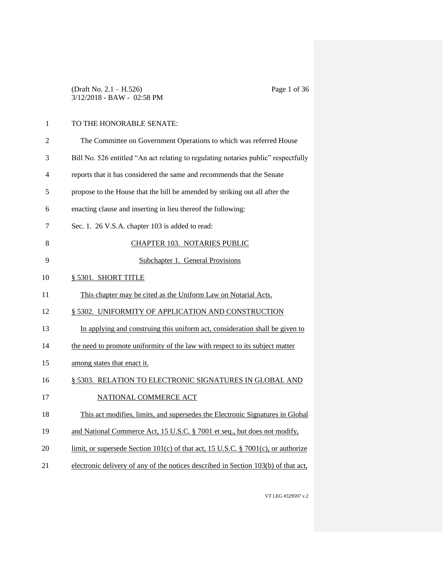| (Draft No. $2.1 - H.526$ )   |  |
|------------------------------|--|
| $3/12/2018 - BAW - 02:58 PM$ |  |

# 1 TO THE HONORABLE SENATE:

| $\mathfrak{2}$ | The Committee on Government Operations to which was referred House                  |
|----------------|-------------------------------------------------------------------------------------|
| 3              | Bill No. 526 entitled "An act relating to regulating notaries public" respectfully  |
| $\overline{4}$ | reports that it has considered the same and recommends that the Senate              |
| 5              | propose to the House that the bill be amended by striking out all after the         |
| 6              | enacting clause and inserting in lieu thereof the following:                        |
| 7              | Sec. 1. 26 V.S.A. chapter 103 is added to read:                                     |
| 8              | CHAPTER 103. NOTARIES PUBLIC                                                        |
| 9              | Subchapter 1. General Provisions                                                    |
| 10             | § 5301. SHORT TITLE                                                                 |
| 11             | This chapter may be cited as the Uniform Law on Notarial Acts.                      |
| 12             | § 5302. UNIFORMITY OF APPLICATION AND CONSTRUCTION                                  |
| 13             | In applying and construing this uniform act, consideration shall be given to        |
| 14             | the need to promote uniformity of the law with respect to its subject matter        |
| 15             | among states that enact it.                                                         |
| 16             | § 5303. RELATION TO ELECTRONIC SIGNATURES IN GLOBAL AND                             |
| 17             | NATIONAL COMMERCE ACT                                                               |
| 18             | This act modifies, limits, and supersedes the Electronic Signatures in Global       |
| 19             | and National Commerce Act, 15 U.S.C. § 7001 et seq., but does not modify,           |
| 20             | limit, or supersede Section $101(c)$ of that act, 15 U.S.C. § 7001(c), or authorize |
| 21             | electronic delivery of any of the notices described in Section 103(b) of that act,  |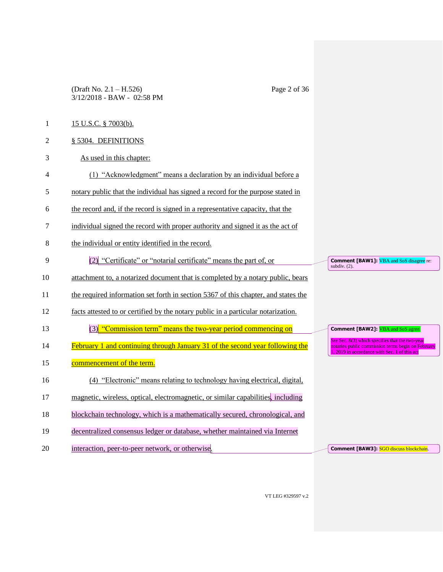(Draft No. 2.1 – H.526) Page 2 of 36 3/12/2018 - BAW - 02:58 PM

- 1 15 U.S.C. § 7003(b).
- 2 § 5304. DEFINITIONS
- 3 As used in this chapter:
- 4 (1) "Acknowledgment" means a declaration by an individual before a
- 5 notary public that the individual has signed a record for the purpose stated in
- 6 the record and, if the record is signed in a representative capacity, that the
- 7 individual signed the record with proper authority and signed it as the act of
- 8 the individual or entity identified in the record.
- 9 (2) "Certificate" or "notarial certificate" means the part of, or
- 10 attachment to, a notarized document that is completed by a notary public, bears
- 11 the required information set forth in section 5367 of this chapter, and states the
- 12 facts attested to or certified by the notary public in a particular notarization.
- 13 (3) "Commission term" means the two-year period commencing on
- 14 February 1 and continuing through January 31 of the second year following the
- 15 commencement of the term.
- 16 (4) "Electronic" means relating to technology having electrical, digital,
- 17 magnetic, wireless, optical, electromagnetic, or similar capabilities, including
- 18 blockchain technology, which is a mathematically secured, chronological, and
- 19 decentralized consensus ledger or database, whether maintained via Internet
- 20 interaction, peer-to-peer network, or otherwise.

**Comment [BAW1]: VBA and SoS disagree** re: subdiv. (2).

**Comment [BAW2]:** VBA and SoS agree.

**Comment [BAW3]:** SGO discuss blockchain.

*See* Sec. 8(3) which specifies that the two-year notaries public commission terms begin on February 2019 in accordance with Sec. 1 of this act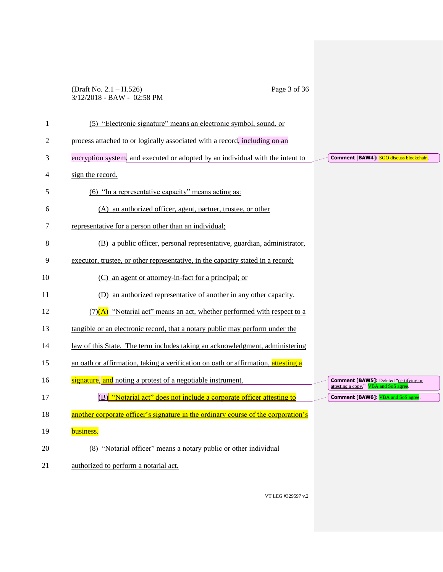## (Draft No. 2.1 – H.526) Page 3 of 36 3/12/2018 - BAW - 02:58 PM

| $\mathbf{1}$   | (5) "Electronic signature" means an electronic symbol, sound, or                  |                                                                                        |
|----------------|-----------------------------------------------------------------------------------|----------------------------------------------------------------------------------------|
| $\mathfrak{2}$ | process attached to or logically associated with a record, including on an        |                                                                                        |
| 3              | encryption system, and executed or adopted by an individual with the intent to    | <b>Comment [BAW4]: SGO discuss blockchain.</b>                                         |
| 4              | sign the record.                                                                  |                                                                                        |
| 5              | (6) "In a representative capacity" means acting as:                               |                                                                                        |
| 6              | (A) an authorized officer, agent, partner, trustee, or other                      |                                                                                        |
| 7              | representative for a person other than an individual;                             |                                                                                        |
| 8              | (B) a public officer, personal representative, guardian, administrator,           |                                                                                        |
| 9              | executor, trustee, or other representative, in the capacity stated in a record;   |                                                                                        |
| 10             | (C) an agent or attorney-in-fact for a principal; or                              |                                                                                        |
| 11             | (D) an authorized representative of another in any other capacity.                |                                                                                        |
| 12             | $(7)(A)$ "Notarial act" means an act, whether performed with respect to a         |                                                                                        |
| 13             | tangible or an electronic record, that a notary public may perform under the      |                                                                                        |
| 14             | law of this State. The term includes taking an acknowledgment, administering      |                                                                                        |
| 15             | an oath or affirmation, taking a verification on oath or affirmation, attesting a |                                                                                        |
| 16             | signature, and noting a protest of a negotiable instrument.                       | <b>Comment [BAW5]:</b> Deleted "certifying or<br>attesting a copy," VBA and SoS agree. |
| 17             | (B) "Notarial act" does not include a corporate officer attesting to              | <b>Comment [BAW6]:</b> VBA and SoS agree.                                              |
| 18             | another corporate officer's signature in the ordinary course of the corporation's |                                                                                        |
| 19             | business.                                                                         |                                                                                        |
| 20             | (8) "Notarial officer" means a notary public or other individual                  |                                                                                        |
| 21             | authorized to perform a notarial act.                                             |                                                                                        |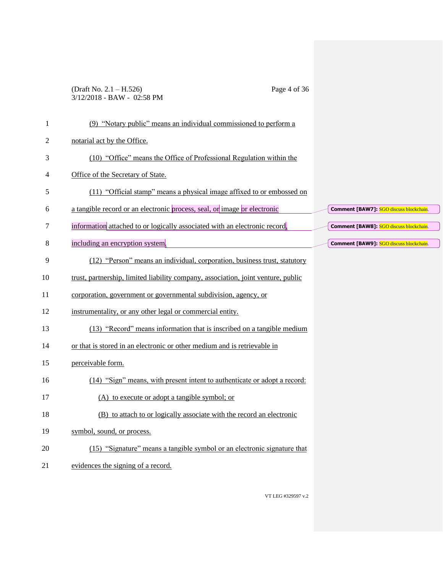### (Draft No. 2.1 – H.526) Page 4 of 36 3/12/2018 - BAW - 02:58 PM

| $\mathbf{1}$ | (9) "Notary public" means an individual commissioned to perform a                 |                                                |
|--------------|-----------------------------------------------------------------------------------|------------------------------------------------|
| 2            | notarial act by the Office.                                                       |                                                |
| 3            | (10) "Office" means the Office of Professional Regulation within the              |                                                |
| 4            | Office of the Secretary of State.                                                 |                                                |
| 5            | (11) "Official stamp" means a physical image affixed to or embossed on            |                                                |
| 6            | a tangible record or an electronic process, seal, or image or electronic          | Comment [BAW7]: SGO discuss blockchain.        |
| 7            | information attached to or logically associated with an electronic record,        | <b>Comment [BAW8]: SGO discuss blockchain.</b> |
| 8            | including an encryption system.                                                   | Comment [BAW9]: SGO discuss blockchain.        |
| 9            | (12) "Person" means an individual, corporation, business trust, statutory         |                                                |
| 10           | trust, partnership, limited liability company, association, joint venture, public |                                                |
| 11           | corporation, government or governmental subdivision, agency, or                   |                                                |
| 12           | instrumentality, or any other legal or commercial entity.                         |                                                |
| 13           | (13) "Record" means information that is inscribed on a tangible medium            |                                                |
| 14           | or that is stored in an electronic or other medium and is retrievable in          |                                                |
| 15           | perceivable form.                                                                 |                                                |
| 16           | (14) "Sign" means, with present intent to authenticate or adopt a record:         |                                                |
| 17           | (A) to execute or adopt a tangible symbol; or                                     |                                                |
| 18           | (B) to attach to or logically associate with the record an electronic             |                                                |
| 19           | symbol, sound, or process.                                                        |                                                |
| 20           | (15) "Signature" means a tangible symbol or an electronic signature that          |                                                |
| 21           | evidences the signing of a record.                                                |                                                |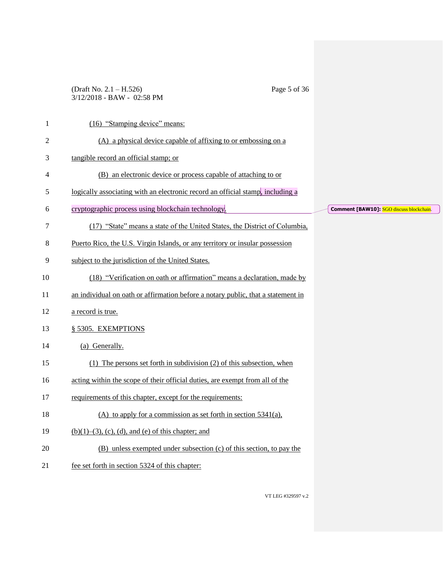### (Draft No. 2.1 – H.526) Page 5 of 36 3/12/2018 - BAW - 02:58 PM

| $\mathbf{1}$ | (16) "Stamping device" means:                                                    |                                          |
|--------------|----------------------------------------------------------------------------------|------------------------------------------|
| 2            | (A) a physical device capable of affixing to or embossing on a                   |                                          |
| 3            | tangible record an official stamp; or                                            |                                          |
| 4            | (B) an electronic device or process capable of attaching to or                   |                                          |
| 5            | logically associating with an electronic record an official stamp, including a   |                                          |
| 6            | cryptographic process using blockchain technology.                               | Comment [BAW10]: SGO discuss blockchain. |
| 7            | (17) "State" means a state of the United States, the District of Columbia,       |                                          |
| 8            | Puerto Rico, the U.S. Virgin Islands, or any territory or insular possession     |                                          |
| 9            | subject to the jurisdiction of the United States.                                |                                          |
| 10           | (18) "Verification on oath or affirmation" means a declaration, made by          |                                          |
| 11           | an individual on oath or affirmation before a notary public, that a statement in |                                          |
| 12           | a record is true.                                                                |                                          |
| 13           | § 5305. EXEMPTIONS                                                               |                                          |
| 14           | (a) Generally.                                                                   |                                          |
| 15           | $(1)$ The persons set forth in subdivision $(2)$ of this subsection, when        |                                          |
| 16           | acting within the scope of their official duties, are exempt from all of the     |                                          |
| 17           | requirements of this chapter, except for the requirements:                       |                                          |
| 18           | (A) to apply for a commission as set forth in section $5341(a)$ ,                |                                          |
| 19           | $(b)(1)$ –(3), (c), (d), and (e) of this chapter; and                            |                                          |
| 20           | (B) unless exempted under subsection (c) of this section, to pay the             |                                          |
| 21           | fee set forth in section 5324 of this chapter:                                   |                                          |
|              |                                                                                  |                                          |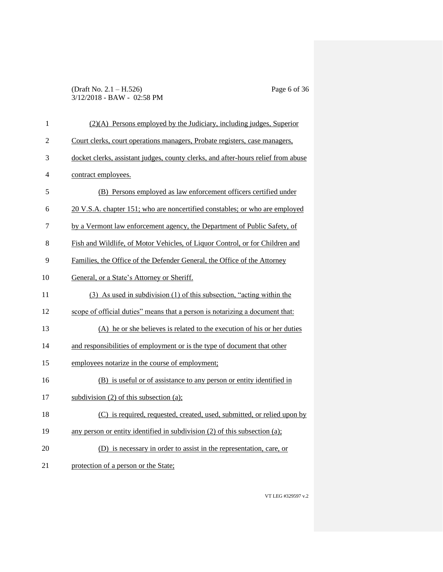### (Draft No. 2.1 – H.526) Page 6 of 36 3/12/2018 - BAW - 02:58 PM

| 1              | $(2)(A)$ Persons employed by the Judiciary, including judges, Superior            |
|----------------|-----------------------------------------------------------------------------------|
| $\overline{2}$ | Court clerks, court operations managers, Probate registers, case managers,        |
| 3              | docket clerks, assistant judges, county clerks, and after-hours relief from abuse |
| 4              | contract employees.                                                               |
| 5              | (B) Persons employed as law enforcement officers certified under                  |
| 6              | 20 V.S.A. chapter 151; who are noncertified constables; or who are employed       |
| 7              | by a Vermont law enforcement agency, the Department of Public Safety, of          |
| 8              | Fish and Wildlife, of Motor Vehicles, of Liquor Control, or for Children and      |
| 9              | Families, the Office of the Defender General, the Office of the Attorney          |
| 10             | General, or a State's Attorney or Sheriff.                                        |
| 11             | (3) As used in subdivision (1) of this subsection, "acting within the             |
| 12             | scope of official duties" means that a person is notarizing a document that:      |
| 13             | (A) he or she believes is related to the execution of his or her duties           |
| 14             | and responsibilities of employment or is the type of document that other          |
| 15             | employees notarize in the course of employment;                                   |
| 16             | (B) is useful or of assistance to any person or entity identified in              |
| 17             | subdivision $(2)$ of this subsection $(a)$ ;                                      |
| 18             | (C) is required, requested, created, used, submitted, or relied upon by           |
| 19             | any person or entity identified in subdivision (2) of this subsection (a);        |
| 20             | (D) is necessary in order to assist in the representation, care, or               |
| 21             | protection of a person or the State;                                              |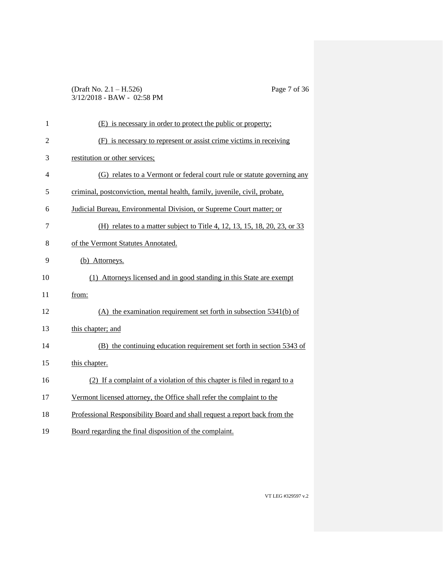### (Draft No. 2.1 – H.526) Page 7 of 36 3/12/2018 - BAW - 02:58 PM

| $\mathbf{1}$   | (E) is necessary in order to protect the public or property;               |
|----------------|----------------------------------------------------------------------------|
| $\overline{c}$ | (F) is necessary to represent or assist crime victims in receiving         |
| 3              | restitution or other services;                                             |
| 4              | (G) relates to a Vermont or federal court rule or statute governing any    |
| 5              | criminal, postconviction, mental health, family, juvenile, civil, probate, |
| 6              | Judicial Bureau, Environmental Division, or Supreme Court matter; or       |
| 7              | (H) relates to a matter subject to Title 4, 12, 13, 15, 18, 20, 23, or 33  |
| 8              | of the Vermont Statutes Annotated.                                         |
| 9              | (b) Attorneys.                                                             |
| 10             | (1) Attorneys licensed and in good standing in this State are exempt       |
| 11             | from:                                                                      |
| 12             | $(A)$ the examination requirement set forth in subsection 5341(b) of       |
| 13             | this chapter; and                                                          |
| 14             | (B) the continuing education requirement set forth in section 5343 of      |
| 15             | this chapter.                                                              |
| 16             | (2) If a complaint of a violation of this chapter is filed in regard to a  |
| 17             | Vermont licensed attorney, the Office shall refer the complaint to the     |
| 18             | Professional Responsibility Board and shall request a report back from the |
|                |                                                                            |

Board regarding the final disposition of the complaint.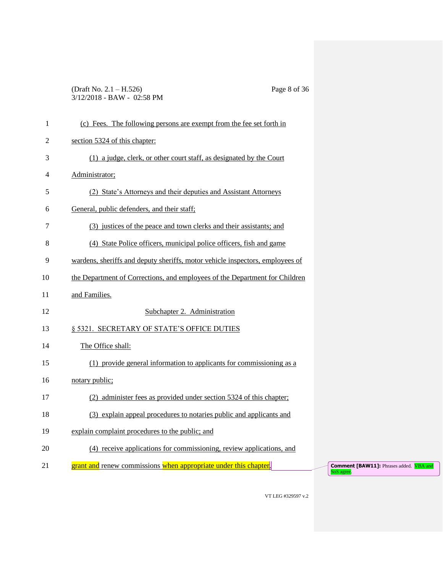### (Draft No. 2.1 – H.526) Page 8 of 36 3/12/2018 - BAW - 02:58 PM

| $\mathbf{1}$ | (c) Fees. The following persons are exempt from the fee set forth in          |                                                                     |
|--------------|-------------------------------------------------------------------------------|---------------------------------------------------------------------|
| 2            | section 5324 of this chapter:                                                 |                                                                     |
| 3            | (1) a judge, clerk, or other court staff, as designated by the Court          |                                                                     |
| 4            | Administrator;                                                                |                                                                     |
| 5            | (2) State's Attorneys and their deputies and Assistant Attorneys              |                                                                     |
| 6            | General, public defenders, and their staff;                                   |                                                                     |
| 7            | (3) justices of the peace and town clerks and their assistants; and           |                                                                     |
| 8            | (4) State Police officers, municipal police officers, fish and game           |                                                                     |
| 9            | wardens, sheriffs and deputy sheriffs, motor vehicle inspectors, employees of |                                                                     |
| 10           | the Department of Corrections, and employees of the Department for Children   |                                                                     |
| 11           | and Families.                                                                 |                                                                     |
| 12           | Subchapter 2. Administration                                                  |                                                                     |
| 13           | § 5321. SECRETARY OF STATE'S OFFICE DUTIES                                    |                                                                     |
| 14           | The Office shall:                                                             |                                                                     |
| 15           | (1) provide general information to applicants for commissioning as a          |                                                                     |
| 16           | notary public;                                                                |                                                                     |
| 17           | (2) administer fees as provided under section 5324 of this chapter;           |                                                                     |
| 18           | (3) explain appeal procedures to notaries public and applicants and           |                                                                     |
| 19           | explain complaint procedures to the public; and                               |                                                                     |
| 20           | (4) receive applications for commissioning, review applications, and          |                                                                     |
| 21           | grant and renew commissions when appropriate under this chapter.              | <b>Comment [BAW11]:</b> Phrases added. <b>VBA and</b><br>SoS agree. |
|              |                                                                               |                                                                     |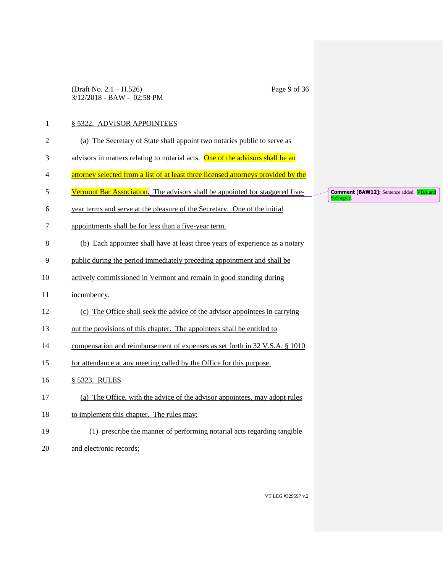(Draft No. 2.1 – H.526) Page 9 of 36 3/12/2018 - BAW - 02:58 PM

## 1 § 5322. ADVISOR APPOINTEES

| $\mathfrak{2}$ | (a) The Secretary of State shall appoint two notaries public to serve as           |
|----------------|------------------------------------------------------------------------------------|
| 3              | advisors in matters relating to notarial acts. One of the advisors shall be an     |
| 4              | attorney selected from a list of at least three licensed attorneys provided by the |
| 5              | Vermont Bar Association. The advisors shall be appointed for staggered five-       |
| 6              | year terms and serve at the pleasure of the Secretary. One of the initial          |
| 7              | appointments shall be for less than a five-year term.                              |
| 8              | (b) Each appointee shall have at least three years of experience as a notary       |
| 9              | public during the period immediately preceding appointment and shall be            |
| 10             | actively commissioned in Vermont and remain in good standing during                |
| 11             | incumbency.                                                                        |
| 12             | (c) The Office shall seek the advice of the advisor appointees in carrying         |
| 13             | out the provisions of this chapter. The appointees shall be entitled to            |
| 14             | compensation and reimbursement of expenses as set forth in 32 V.S.A. § 1010        |
| 15             | for attendance at any meeting called by the Office for this purpose.               |
| 16             | § 5323. RULES                                                                      |
| 17             | (a) The Office, with the advice of the advisor appointees, may adopt rules         |
| 18             | to implement this chapter. The rules may:                                          |
| 19             | (1) prescribe the manner of performing notarial acts regarding tangible            |
| 20             | and electronic records;                                                            |

**Comment [BAW12]:** Sentence added. **VBA and SoS agree.**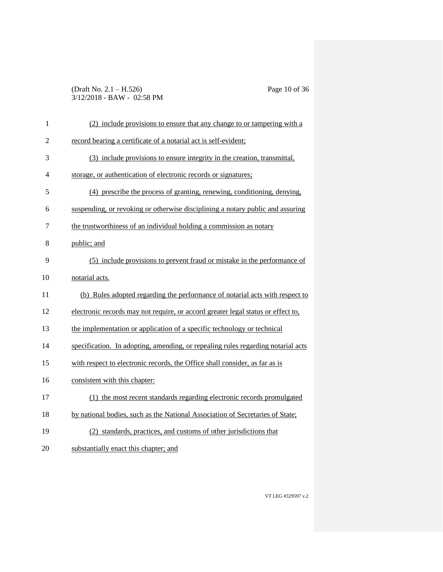### (Draft No. 2.1 – H.526) Page 10 of 36 3/12/2018 - BAW - 02:58 PM

| $\mathbf{1}$   | (2) include provisions to ensure that any change to or tampering with a          |
|----------------|----------------------------------------------------------------------------------|
| $\overline{c}$ | record bearing a certificate of a notarial act is self-evident;                  |
| 3              | (3) include provisions to ensure integrity in the creation, transmittal,         |
| 4              | storage, or authentication of electronic records or signatures;                  |
| 5              | (4) prescribe the process of granting, renewing, conditioning, denying,          |
| 6              | suspending, or revoking or otherwise disciplining a notary public and assuring   |
| 7              | the trustworthiness of an individual holding a commission as notary              |
| 8              | public; and                                                                      |
| 9              | (5) include provisions to prevent fraud or mistake in the performance of         |
| 10             | notarial acts.                                                                   |
| 11             | (b) Rules adopted regarding the performance of notarial acts with respect to     |
| 12             | electronic records may not require, or accord greater legal status or effect to, |
| 13             | the implementation or application of a specific technology or technical          |
| 14             | specification. In adopting, amending, or repealing rules regarding notarial acts |
| 15             | with respect to electronic records, the Office shall consider, as far as is      |
| 16             | consistent with this chapter:                                                    |
| 17             | (1) the most recent standards regarding electronic records promulgated           |
| 18             | by national bodies, such as the National Association of Secretaries of State;    |
| 19             | (2) standards, practices, and customs of other jurisdictions that                |
| 20             | substantially enact this chapter; and                                            |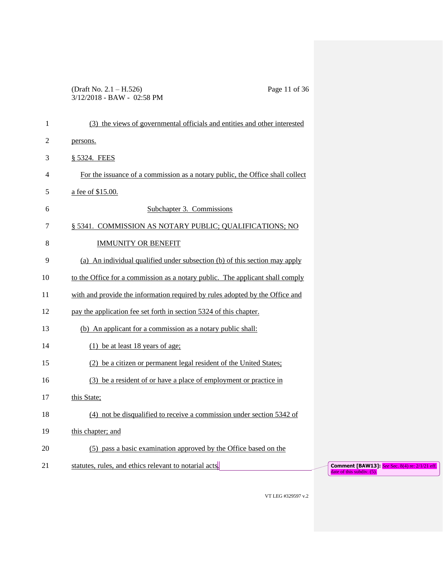### (Draft No. 2.1 – H.526) Page 11 of 36 3/12/2018 - BAW - 02:58 PM

| $\mathbf{1}$ | (3) the views of governmental officials and entities and other interested                                                                    |
|--------------|----------------------------------------------------------------------------------------------------------------------------------------------|
| 2            | persons.                                                                                                                                     |
| 3            | § 5324. FEES                                                                                                                                 |
| 4            | For the issuance of a commission as a notary public, the Office shall collect                                                                |
| 5            | a fee of \$15.00.                                                                                                                            |
| 6            | Subchapter 3. Commissions                                                                                                                    |
| 7            | § 5341. COMMISSION AS NOTARY PUBLIC; QUALIFICATIONS; NO                                                                                      |
| 8            | <b>IMMUNITY OR BENEFIT</b>                                                                                                                   |
| 9            | (a) An individual qualified under subsection (b) of this section may apply                                                                   |
| 10           | to the Office for a commission as a notary public. The applicant shall comply                                                                |
| 11           | with and provide the information required by rules adopted by the Office and                                                                 |
| 12           | pay the application fee set forth in section 5324 of this chapter.                                                                           |
| 13           | (b) An applicant for a commission as a notary public shall:                                                                                  |
| 14           | $(1)$ be at least 18 years of age;                                                                                                           |
| 15           | (2) be a citizen or permanent legal resident of the United States;                                                                           |
| 16           | (3) be a resident of or have a place of employment or practice in                                                                            |
| 17           | this State;                                                                                                                                  |
| 18           | (4) not be disqualified to receive a commission under section 5342 of                                                                        |
| 19           | this chapter; and                                                                                                                            |
| 20           | (5) pass a basic examination approved by the Office based on the                                                                             |
| 21           | statutes, rules, and ethics relevant to notarial acts.<br><b>Comment [BAW13]:</b> See Sec. 8(4) re: 2/1/21 eff.<br>date of this subdiv. (5). |
|              |                                                                                                                                              |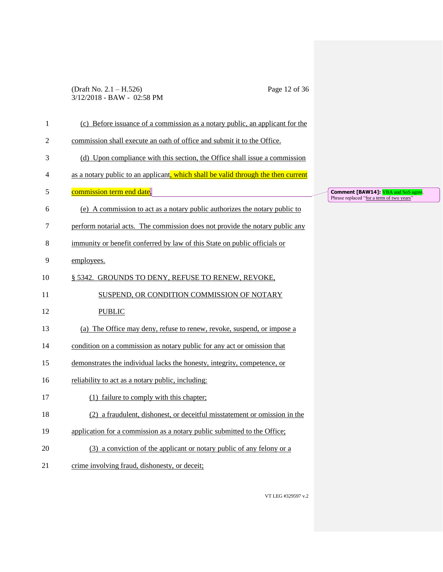### (Draft No. 2.1 – H.526) Page 12 of 36 3/12/2018 - BAW - 02:58 PM

| $\mathbf{1}$   | (c) Before issuance of a commission as a notary public, an applicant for the      |                            |
|----------------|-----------------------------------------------------------------------------------|----------------------------|
| $\overline{2}$ | commission shall execute an oath of office and submit it to the Office.           |                            |
| 3              | (d) Upon compliance with this section, the Office shall issue a commission        |                            |
| 4              | as a notary public to an applicant, which shall be valid through the then current |                            |
| 5              | commission term end date.                                                         | $\epsilon$<br>$\mathbf{P}$ |
| 6              | (e) A commission to act as a notary public authorizes the notary public to        |                            |
| 7              | perform notarial acts. The commission does not provide the notary public any      |                            |
| 8              | immunity or benefit conferred by law of this State on public officials or         |                            |
| 9              | employees.                                                                        |                            |
| 10             | § 5342. GROUNDS TO DENY, REFUSE TO RENEW, REVOKE,                                 |                            |
| 11             | SUSPEND, OR CONDITION COMMISSION OF NOTARY                                        |                            |
| 12             | <b>PUBLIC</b>                                                                     |                            |
| 13             | (a) The Office may deny, refuse to renew, revoke, suspend, or impose a            |                            |
| 14             | condition on a commission as notary public for any act or omission that           |                            |
| 15             | demonstrates the individual lacks the honesty, integrity, competence, or          |                            |
| 16             | reliability to act as a notary public, including:                                 |                            |
| 17             | (1) failure to comply with this chapter;                                          |                            |
| 18             | (2) a fraudulent, dishonest, or deceitful misstatement or omission in the         |                            |
| 19             | application for a commission as a notary public submitted to the Office;          |                            |
| 20             | (3) a conviction of the applicant or notary public of any felony or a             |                            |
| 21             | crime involving fraud, dishonesty, or deceit;                                     |                            |
|                |                                                                                   |                            |

**Comment [BAW14]: VBA and SoS agree.** Phrase replaced "for a term of two years"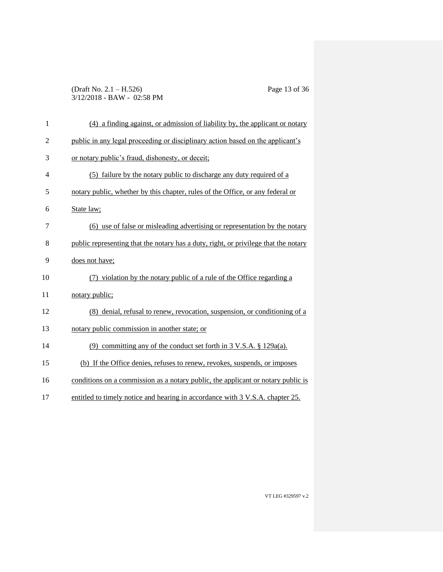### (Draft No. 2.1 – H.526) Page 13 of 36 3/12/2018 - BAW - 02:58 PM

| $\mathbf{1}$   | (4) a finding against, or admission of liability by, the applicant or notary        |
|----------------|-------------------------------------------------------------------------------------|
| $\overline{2}$ | public in any legal proceeding or disciplinary action based on the applicant's      |
| 3              | or notary public's fraud, dishonesty, or deceit;                                    |
| $\overline{4}$ | (5) failure by the notary public to discharge any duty required of a                |
| 5              | notary public, whether by this chapter, rules of the Office, or any federal or      |
| 6              | State law;                                                                          |
| 7              | (6) use of false or misleading advertising or representation by the notary          |
| 8              | public representing that the notary has a duty, right, or privilege that the notary |
| 9              | does not have;                                                                      |
| 10             | (7) violation by the notary public of a rule of the Office regarding a              |
| 11             | notary public;                                                                      |
| 12             | (8) denial, refusal to renew, revocation, suspension, or conditioning of a          |
| 13             | notary public commission in another state; or                                       |
| 14             | (9) committing any of the conduct set forth in $3 \text{ V.S.A. }$ \$ 129a(a).      |
| 15             | (b) If the Office denies, refuses to renew, revokes, suspends, or imposes           |
| 16             | conditions on a commission as a notary public, the applicant or notary public is    |
| 17             | entitled to timely notice and hearing in accordance with 3 V.S.A. chapter 25.       |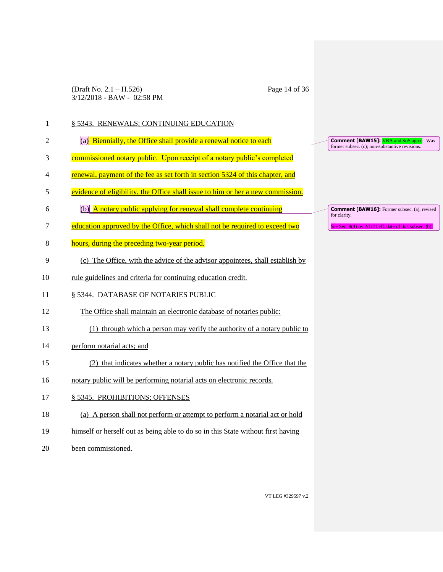(Draft No. 2.1 – H.526) Page 14 of 36 3/12/2018 - BAW - 02:58 PM

| 1  | § 5343. RENEWALS; CONTINUING EDUCATION                                           |                                                                                                  |
|----|----------------------------------------------------------------------------------|--------------------------------------------------------------------------------------------------|
| 2  | (a) Biennially, the Office shall provide a renewal notice to each                | <b>Comment [BAW15]: VBA and SoS agree.</b> Was<br>former subsec. (c); non-substantive revisions. |
| 3  | commissioned notary public. Upon receipt of a notary public's completed          |                                                                                                  |
| 4  | renewal, payment of the fee as set forth in section 5324 of this chapter, and    |                                                                                                  |
| 5  | evidence of eligibility, the Office shall issue to him or her a new commission.  |                                                                                                  |
| 6  | $(b)$ A notary public applying for renewal shall complete continuing             | <b>Comment [BAW16]:</b> Former subsec. (a), revised<br>for clarity.                              |
| 7  | education approved by the Office, which shall not be required to exceed two      | See Sec. $8(4)$ re: $2/1/21$ eff. date of this subsec. (b).                                      |
| 8  | hours, during the preceding two-year period.                                     |                                                                                                  |
| 9  | (c) The Office, with the advice of the advisor appointees, shall establish by    |                                                                                                  |
| 10 | rule guidelines and criteria for continuing education credit.                    |                                                                                                  |
| 11 | § 5344. DATABASE OF NOTARIES PUBLIC                                              |                                                                                                  |
| 12 | The Office shall maintain an electronic database of notaries public:             |                                                                                                  |
| 13 | (1) through which a person may verify the authority of a notary public to        |                                                                                                  |
| 14 | perform notarial acts; and                                                       |                                                                                                  |
| 15 | (2) that indicates whether a notary public has notified the Office that the      |                                                                                                  |
| 16 | notary public will be performing notarial acts on electronic records.            |                                                                                                  |
| 17 | § 5345. PROHIBITIONS; OFFENSES                                                   |                                                                                                  |
| 18 | (a) A person shall not perform or attempt to perform a notarial act or hold      |                                                                                                  |
| 19 | himself or herself out as being able to do so in this State without first having |                                                                                                  |
| 20 | been commissioned.                                                               |                                                                                                  |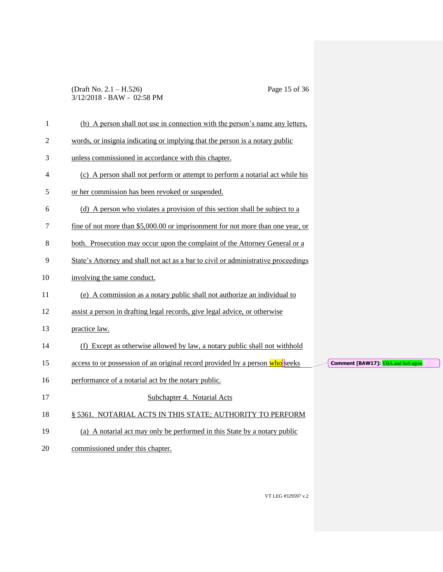### (Draft No. 2.1 – H.526) Page 15 of 36 3/12/2018 - BAW - 02:58 PM

| (b) A person shall not use in connection with the person's name any letters,       |                                           |
|------------------------------------------------------------------------------------|-------------------------------------------|
| words, or insignia indicating or implying that the person is a notary public       |                                           |
| unless commissioned in accordance with this chapter.                               |                                           |
| (c) A person shall not perform or attempt to perform a notarial act while his      |                                           |
| or her commission has been revoked or suspended.                                   |                                           |
| (d) A person who violates a provision of this section shall be subject to a        |                                           |
| fine of not more than \$5,000.00 or imprisonment for not more than one year, or    |                                           |
| both. Prosecution may occur upon the complaint of the Attorney General or a        |                                           |
| State's Attorney and shall not act as a bar to civil or administrative proceedings |                                           |
| involving the same conduct.                                                        |                                           |
| (e) A commission as a notary public shall not authorize an individual to           |                                           |
| assist a person in drafting legal records, give legal advice, or otherwise         |                                           |
| practice law.                                                                      |                                           |
| (f) Except as otherwise allowed by law, a notary public shall not withhold         |                                           |
| access to or possession of an original record provided by a person who seeks       | <b>Comment [BAW17]:</b> VBA and SoS agree |
| performance of a notarial act by the notary public.                                |                                           |
| Subchapter 4. Notarial Acts                                                        |                                           |
| § 5361. NOTARIAL ACTS IN THIS STATE; AUTHORITY TO PERFORM                          |                                           |
| (a) A notarial act may only be performed in this State by a notary public          |                                           |
| commissioned under this chapter.                                                   |                                           |
|                                                                                    |                                           |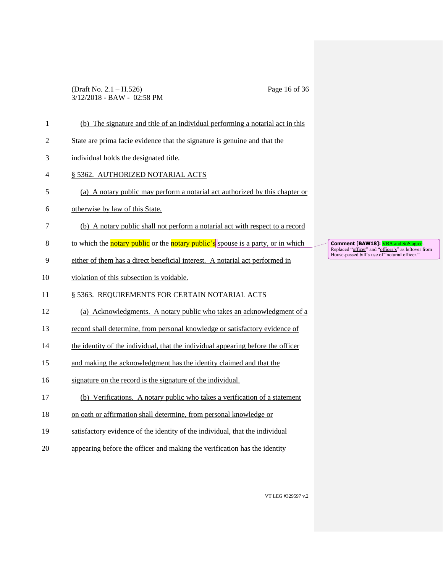### (Draft No. 2.1 – H.526) Page 16 of 36 3/12/2018 - BAW - 02:58 PM

| $\mathbf{1}$   | (b) The signature and title of an individual performing a notarial act in this                 |                            |
|----------------|------------------------------------------------------------------------------------------------|----------------------------|
| $\mathfrak{2}$ | State are prima facie evidence that the signature is genuine and that the                      |                            |
| 3              | individual holds the designated title.                                                         |                            |
| $\overline{4}$ | § 5362. AUTHORIZED NOTARIAL ACTS                                                               |                            |
| 5              | (a) A notary public may perform a notarial act authorized by this chapter or                   |                            |
| 6              | otherwise by law of this State.                                                                |                            |
| 7              | (b) A notary public shall not perform a notarial act with respect to a record                  |                            |
| 8              | to which the <b>notary public</b> or the <b>notary public's</b> spouse is a party, or in which | $\epsilon$<br>$\mathbf{F}$ |
| 9              | either of them has a direct beneficial interest. A notarial act performed in                   | $\mathbf I$                |
| 10             | violation of this subsection is voidable.                                                      |                            |
| 11             | § 5363. REQUIREMENTS FOR CERTAIN NOTARIAL ACTS                                                 |                            |
| 12             | (a) Acknowledgments. A notary public who takes an acknowledgment of a                          |                            |
| 13             | record shall determine, from personal knowledge or satisfactory evidence of                    |                            |
| 14             | the identity of the individual, that the individual appearing before the officer               |                            |
| 15             | and making the acknowledgment has the identity claimed and that the                            |                            |
| 16             | signature on the record is the signature of the individual.                                    |                            |
| 17             | (b) Verifications. A notary public who takes a verification of a statement                     |                            |
| 18             | on oath or affirmation shall determine, from personal knowledge or                             |                            |
| 19             | satisfactory evidence of the identity of the individual, that the individual                   |                            |
| 20             | appearing before the officer and making the verification has the identity                      |                            |
|                |                                                                                                |                            |

**Comment [BAW18]: <mark>VBA and SoS agree</mark>.**<br>Replaced "<u>officer</u>" and "<u>officer's</u>" as leftover from<br>House-passed bill's use of "notarial officer."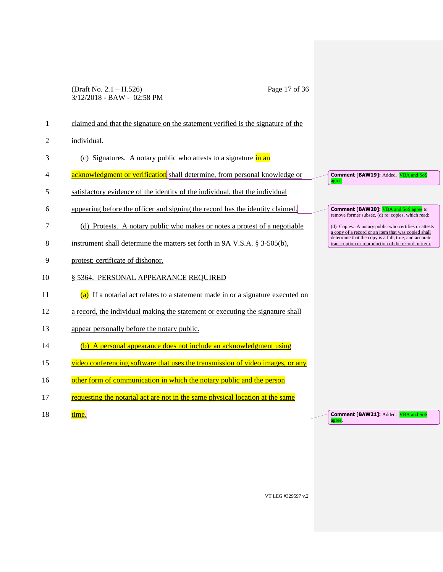### (Draft No. 2.1 – H.526) Page 17 of 36 3/12/2018 - BAW - 02:58 PM

| 1              | claimed and that the signature on the statement verified is the signature of the  |                                                                                                               |
|----------------|-----------------------------------------------------------------------------------|---------------------------------------------------------------------------------------------------------------|
| $\overline{c}$ | individual.                                                                       |                                                                                                               |
| 3              | (c) Signatures. A notary public who attests to a signature in an                  |                                                                                                               |
| 4              | acknowledgment or verification shall determine, from personal knowledge or        | <b>Comment [BAW19]: Added. VBA and SoS</b><br>agree.                                                          |
| 5              | satisfactory evidence of the identity of the individual, that the individual      |                                                                                                               |
| 6              | appearing before the officer and signing the record has the identity claimed.     | <b>Comment [BAW20]: VBA and SoS agree</b> to<br>remove former subsec. (d) re: copies, which read:             |
| 7              | (d) Protests. A notary public who makes or notes a protest of a negotiable        | (d) Copies. A notary public who certifies or attests<br>a copy of a record or an item that was copied shall   |
| 8              | instrument shall determine the matters set forth in 9A V.S.A. § 3-505(b),         | determine that the copy is a full, true, and accurate<br>transcription or reproduction of the record or item. |
| 9              | protest; certificate of dishonor.                                                 |                                                                                                               |
| 10             | § 5364. PERSONAL APPEARANCE REQUIRED                                              |                                                                                                               |
| 11             | $(a)$ If a notarial act relates to a statement made in or a signature executed on |                                                                                                               |
| 12             | a record, the individual making the statement or executing the signature shall    |                                                                                                               |
| 13             | appear personally before the notary public.                                       |                                                                                                               |
| 14             | (b) A personal appearance does not include an acknowledgment using                |                                                                                                               |
| 15             | video conferencing software that uses the transmission of video images, or any    |                                                                                                               |
| 16             | other form of communication in which the notary public and the person             |                                                                                                               |
| 17             | requesting the notarial act are not in the same physical location at the same     |                                                                                                               |
| 18             | time.                                                                             | <b>Comment [BAW21]: Added. VBA and SoS</b><br>agree.                                                          |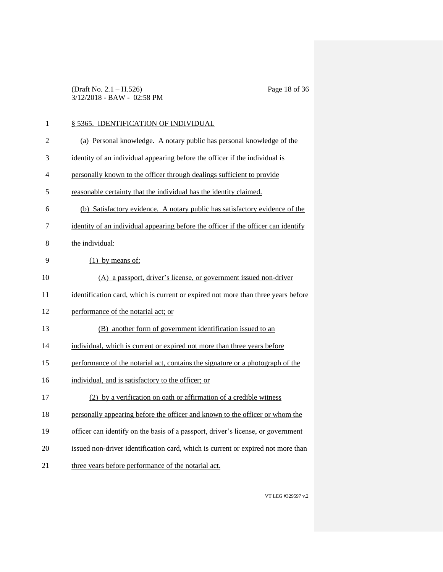(Draft No. 2.1 – H.526) Page 18 of 36 3/12/2018 - BAW - 02:58 PM

| 1  | § 5365. IDENTIFICATION OF INDIVIDUAL                                               |
|----|------------------------------------------------------------------------------------|
| 2  | (a) Personal knowledge. A notary public has personal knowledge of the              |
| 3  | identity of an individual appearing before the officer if the individual is        |
| 4  | personally known to the officer through dealings sufficient to provide             |
| 5  | reasonable certainty that the individual has the identity claimed.                 |
| 6  | (b) Satisfactory evidence. A notary public has satisfactory evidence of the        |
| 7  | identity of an individual appearing before the officer if the officer can identify |
| 8  | the individual:                                                                    |
| 9  | $(1)$ by means of:                                                                 |
| 10 | (A) a passport, driver's license, or government issued non-driver                  |
| 11 | identification card, which is current or expired not more than three years before  |
| 12 | performance of the notarial act; or                                                |
| 13 | (B) another form of government identification issued to an                         |
| 14 | individual, which is current or expired not more than three years before           |
| 15 | performance of the notarial act, contains the signature or a photograph of the     |
| 16 | individual, and is satisfactory to the officer; or                                 |
| 17 | (2) by a verification on oath or affirmation of a credible witness                 |
| 18 | personally appearing before the officer and known to the officer or whom the       |
| 19 | officer can identify on the basis of a passport, driver's license, or government   |
| 20 | issued non-driver identification card, which is current or expired not more than   |
| 21 | three years before performance of the notarial act.                                |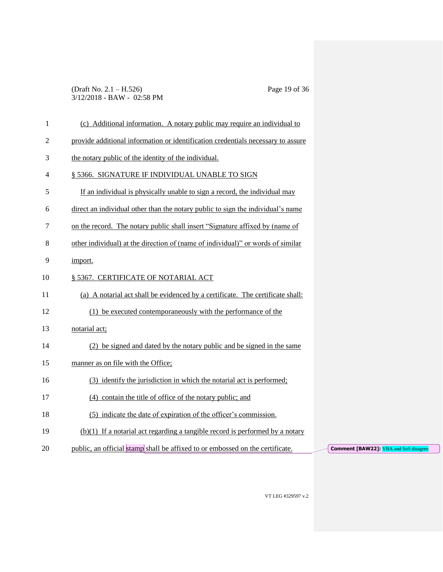### (Draft No. 2.1 – H.526) Page 19 of 36 3/12/2018 - BAW - 02:58 PM

| $\mathbf{1}$   | (c) Additional information. A notary public may require an individual to         |                                               |
|----------------|----------------------------------------------------------------------------------|-----------------------------------------------|
| $\overline{c}$ | provide additional information or identification credentials necessary to assure |                                               |
| 3              | the notary public of the identity of the individual.                             |                                               |
| 4              | § 5366. SIGNATURE IF INDIVIDUAL UNABLE TO SIGN                                   |                                               |
| 5              | If an individual is physically unable to sign a record, the individual may       |                                               |
| 6              | direct an individual other than the notary public to sign the individual's name  |                                               |
| 7              | on the record. The notary public shall insert "Signature affixed by (name of     |                                               |
| 8              | other individual) at the direction of (name of individual)" or words of similar  |                                               |
| 9              | import.                                                                          |                                               |
| 10             | § 5367. CERTIFICATE OF NOTARIAL ACT                                              |                                               |
| 11             | (a) A notarial act shall be evidenced by a certificate. The certificate shall:   |                                               |
| 12             | (1) be executed contemporaneously with the performance of the                    |                                               |
| 13             | notarial act;                                                                    |                                               |
| 14             | (2) be signed and dated by the notary public and be signed in the same           |                                               |
| 15             | manner as on file with the Office:                                               |                                               |
| 16             | (3) identify the jurisdiction in which the notarial act is performed;            |                                               |
| 17             | (4) contain the title of office of the notary public; and                        |                                               |
| 18             | (5) indicate the date of expiration of the officer's commission.                 |                                               |
| 19             | $(b)(1)$ If a notarial act regarding a tangible record is performed by a notary  |                                               |
| 20             | public, an official stamp shall be affixed to or embossed on the certificate.    | <b>Comment [BAW22]:</b> VBA and SoS disagree. |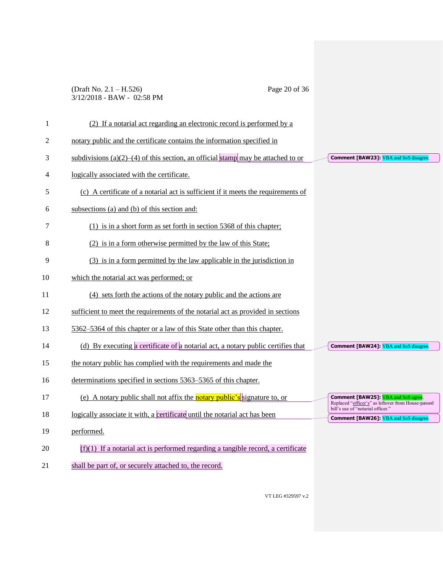### (Draft No. 2.1 – H.526) Page 20 of 36 3/12/2018 - BAW - 02:58 PM

| 1  | (2) If a notarial act regarding an electronic record is performed by a             |                                                                                                                                       |
|----|------------------------------------------------------------------------------------|---------------------------------------------------------------------------------------------------------------------------------------|
| 2  | notary public and the certificate contains the information specified in            |                                                                                                                                       |
| 3  | subdivisions (a)(2)–(4) of this section, an official stamp may be attached to or   | <b>Comment [BAW23]:</b> VBA and SoS disagree.                                                                                         |
| 4  | logically associated with the certificate.                                         |                                                                                                                                       |
| 5  | (c) A certificate of a notarial act is sufficient if it meets the requirements of  |                                                                                                                                       |
| 6  | subsections (a) and (b) of this section and:                                       |                                                                                                                                       |
| 7  | (1) is in a short form as set forth in section 5368 of this chapter;               |                                                                                                                                       |
| 8  | (2) is in a form otherwise permitted by the law of this State;                     |                                                                                                                                       |
| 9  | (3) is in a form permitted by the law applicable in the jurisdiction in            |                                                                                                                                       |
| 10 | which the notarial act was performed; or                                           |                                                                                                                                       |
| 11 | (4) sets forth the actions of the notary public and the actions are                |                                                                                                                                       |
| 12 | sufficient to meet the requirements of the notarial act as provided in sections    |                                                                                                                                       |
| 13 | 5362–5364 of this chapter or a law of this State other than this chapter.          |                                                                                                                                       |
| 14 | (d) By executing a certificate of a notarial act, a notary public certifies that   | <b>Comment [BAW24]:</b> VBA and SoS disagree.                                                                                         |
| 15 | the notary public has complied with the requirements and made the                  |                                                                                                                                       |
| 16 | determinations specified in sections 5363–5365 of this chapter.                    |                                                                                                                                       |
|    |                                                                                    |                                                                                                                                       |
| 17 | (e) A notary public shall not affix the <b>notary public's</b> signature to, or    | <b>Comment [BAW25]: VBA</b> and SoS agree.<br>Replaced "officer's" as leftover from House-passed<br>bill's use of "notarial officer." |
| 18 | logically associate it with, a certificate until the notarial act has been         | <b>Comment [BAW26]:</b> VBA and SoS disagree.                                                                                         |
| 19 | performed.                                                                         |                                                                                                                                       |
| 20 | $(f)(1)$ If a notarial act is performed regarding a tangible record, a certificate |                                                                                                                                       |
| 21 | shall be part of, or securely attached to, the record.                             |                                                                                                                                       |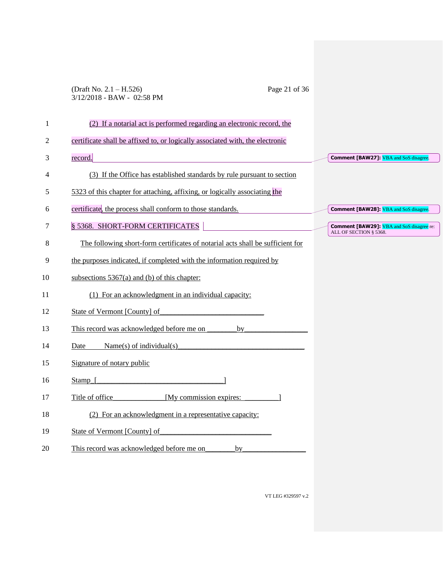### (Draft No. 2.1 – H.526) Page 21 of 36 3/12/2018 - BAW - 02:58 PM

| 1              | (2) If a notarial act is performed regarding an electronic record, the         |                                                                            |
|----------------|--------------------------------------------------------------------------------|----------------------------------------------------------------------------|
| $\overline{c}$ | certificate shall be affixed to, or logically associated with, the electronic  |                                                                            |
| 3              | record.                                                                        | <b>Comment [BAW27]:</b> VBA and SoS disagree.                              |
| 4              | (3) If the Office has established standards by rule pursuant to section        |                                                                            |
| 5              | 5323 of this chapter for attaching, affixing, or logically associating the     |                                                                            |
| 6              | certificate, the process shall conform to those standards.                     | <b>Comment [BAW28]:</b> VBA and SoS disagree.                              |
| 7              | § 5368. SHORT-FORM CERTIFICATES                                                | <b>Comment [BAW29]:</b> VBA and SoS disagree re:<br>ALL OF SECTION § 5368. |
| 8              | The following short-form certificates of notarial acts shall be sufficient for |                                                                            |
| 9              | the purposes indicated, if completed with the information required by          |                                                                            |
| 10             | subsections $5367(a)$ and (b) of this chapter:                                 |                                                                            |
| 11             | (1) For an acknowledgment in an individual capacity:                           |                                                                            |
| 12             | State of Vermont [County] of                                                   |                                                                            |
| 13             | This record was acknowledged before me on<br>by                                |                                                                            |
| 14             | Name(s) of individual(s)<br>Date                                               |                                                                            |
| 15             | Signature of notary public                                                     |                                                                            |
| 16             | Stamp [                                                                        |                                                                            |
| 17             | Title of office<br>[My commission expires:                                     |                                                                            |
| 18             | (2) For an acknowledgment in a representative capacity:                        |                                                                            |
| 19             | State of Vermont [County] of                                                   |                                                                            |
| 20             | This record was acknowledged before me on<br>by                                |                                                                            |
|                |                                                                                |                                                                            |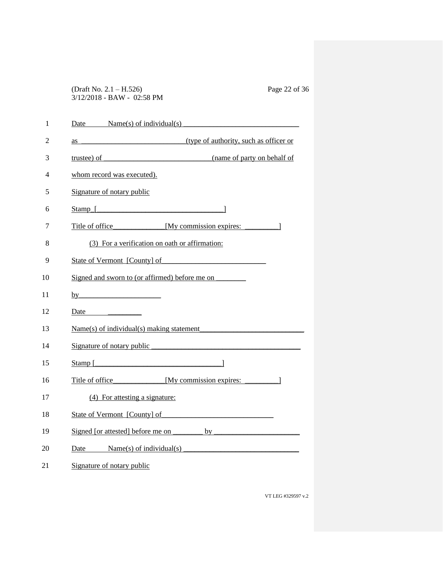(Draft No. 2.1 – H.526) Page 22 of 36 3/12/2018 - BAW - 02:58 PM

| 1  | Date Name(s) of individual(s)                  |
|----|------------------------------------------------|
| 2  |                                                |
| 3  |                                                |
| 4  | whom record was executed).                     |
| 5  | Signature of notary public                     |
| 6  |                                                |
| 7  | Title of office My commission expires: 1       |
| 8  | (3) For a verification on oath or affirmation: |
| 9  | State of Vermont [County] of                   |
| 10 | Signed and sworn to (or affirmed) before me on |
| 11 | by                                             |
| 12 |                                                |
| 13 | $Name(s)$ of individual(s) making statement    |
| 14 | Signature of notary public                     |
| 15 | $Stamp$ [                                      |
| 16 | Title of office [My commission expires: 1]     |
| 17 | (4) For attesting a signature:                 |
| 18 | State of Vermont [County] of                   |
| 19 |                                                |
| 20 | Date Name(s) of individual(s)                  |
| 21 | Signature of notary public                     |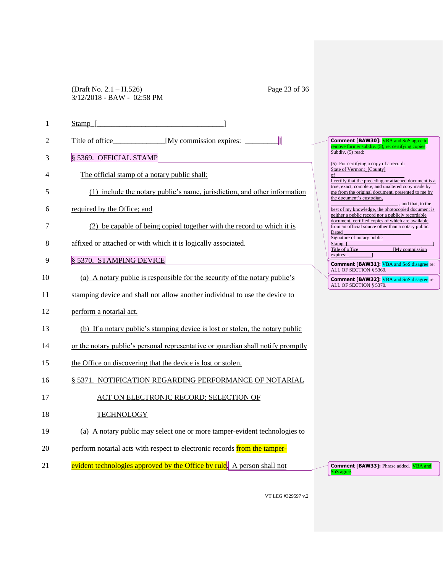(Draft No. 2.1 – H.526) Page 23 of 36 3/12/2018 - BAW - 02:58 PM

| 1  | Stamp                                                        |                                                                                  |                                                                                                                                     |
|----|--------------------------------------------------------------|----------------------------------------------------------------------------------|-------------------------------------------------------------------------------------------------------------------------------------|
| 2  | Title of office                                              | [My commission expires:                                                          | <b>Comment [BAW30]:</b> VBA and SoS agree to<br>remove former subdiv. (5), re: certifying copies.                                   |
| 3  | § 5369. OFFICIAL STAMP                                       |                                                                                  | Subdiv. (5) read:                                                                                                                   |
| 4  | The official stamp of a notary public shall:                 |                                                                                  | (5) For certifying a copy of a record:<br>State of Vermont [County]<br>of<br>I certify that the preceding or attached document is a |
| 5  |                                                              | (1) include the notary public's name, jurisdiction, and other information        | true, exact, complete, and unaltered copy made by<br>me from the original document, presented to me by<br>the document's custodian, |
| 6  | required by the Office; and                                  |                                                                                  | , and that, to the<br>best of my knowledge, the photocopied document is<br>neither a public record nor a publicly recordable        |
| 7  |                                                              | (2) be capable of being copied together with the record to which it is           | document, certified copies of which are available<br>from an official source other than a notary public.<br>Dated                   |
| 8  |                                                              | affixed or attached or with which it is logically associated.                    | Signature of notary public<br>Stamp_[<br>[My commission<br>Title of office                                                          |
| 9  | § 5370. STAMPING DEVICE                                      |                                                                                  | expires:<br><b>Comment [BAW31]:</b> VBA and SoS disagree re:                                                                        |
| 10 |                                                              | (a) A notary public is responsible for the security of the notary public's       | ALL OF SECTION § 5369.<br><b>Comment [BAW32]:</b> VBA and SoS disagree re:<br>ALL OF SECTION § 5370.                                |
| 11 |                                                              | stamping device and shall not allow another individual to use the device to      |                                                                                                                                     |
| 12 | perform a notarial act.                                      |                                                                                  |                                                                                                                                     |
| 13 |                                                              | (b) If a notary public's stamping device is lost or stolen, the notary public    |                                                                                                                                     |
| 14 |                                                              | or the notary public's personal representative or guardian shall notify promptly |                                                                                                                                     |
| 15 | the Office on discovering that the device is lost or stolen. |                                                                                  |                                                                                                                                     |
| 16 |                                                              | § 5371. NOTIFICATION REGARDING PERFORMANCE OF NOTARIAL                           |                                                                                                                                     |
| 17 |                                                              | ACT ON ELECTRONIC RECORD; SELECTION OF                                           |                                                                                                                                     |
| 18 | <b>TECHNOLOGY</b>                                            |                                                                                  |                                                                                                                                     |
| 19 |                                                              | (a) A notary public may select one or more tamper-evident technologies to        |                                                                                                                                     |
| 20 |                                                              | perform notarial acts with respect to electronic records from the tamper-        |                                                                                                                                     |
| 21 |                                                              | evident technologies approved by the Office by rule. A person shall not          | <b>Comment [BAW33]:</b> Phrase added. <b>VBA</b> and<br>SoS agree.                                                                  |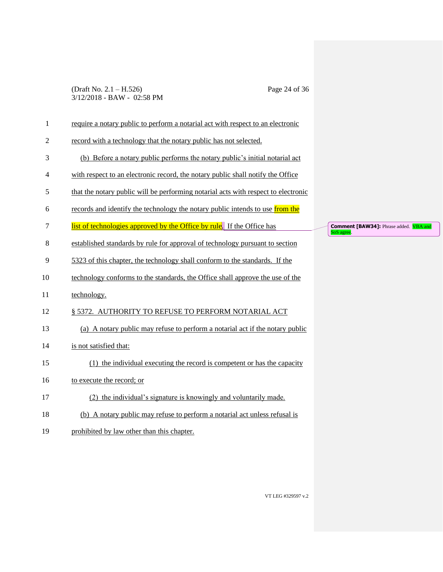### (Draft No. 2.1 – H.526) Page 24 of 36 3/12/2018 - BAW - 02:58 PM

| $\mathbf{1}$   | require a notary public to perform a notarial act with respect to an electronic    |  |
|----------------|------------------------------------------------------------------------------------|--|
| $\overline{c}$ | record with a technology that the notary public has not selected.                  |  |
| 3              | (b) Before a notary public performs the notary public's initial notarial act       |  |
| 4              | with respect to an electronic record, the notary public shall notify the Office    |  |
| 5              | that the notary public will be performing notarial acts with respect to electronic |  |
| 6              | records and identify the technology the notary public intends to use from the      |  |
| $\tau$         | list of technologies approved by the Office by rule. If the Office has             |  |
| $8\,$          | established standards by rule for approval of technology pursuant to section       |  |
| 9              | 5323 of this chapter, the technology shall conform to the standards. If the        |  |
| 10             | technology conforms to the standards, the Office shall approve the use of the      |  |
| 11             | technology.                                                                        |  |
| 12             | § 5372. AUTHORITY TO REFUSE TO PERFORM NOTARIAL ACT                                |  |
| 13             | (a) A notary public may refuse to perform a notarial act if the notary public      |  |
| 14             | is not satisfied that:                                                             |  |
| 15             | (1) the individual executing the record is competent or has the capacity           |  |
| 16             | to execute the record; or                                                          |  |
| 17             | the individual's signature is knowingly and voluntarily made.                      |  |
| 18             | (b) A notary public may refuse to perform a notarial act unless refusal is         |  |
| 19             | prohibited by law other than this chapter.                                         |  |

**Comment [BAW34]:** Phrase added. **VBA and** SoS agree.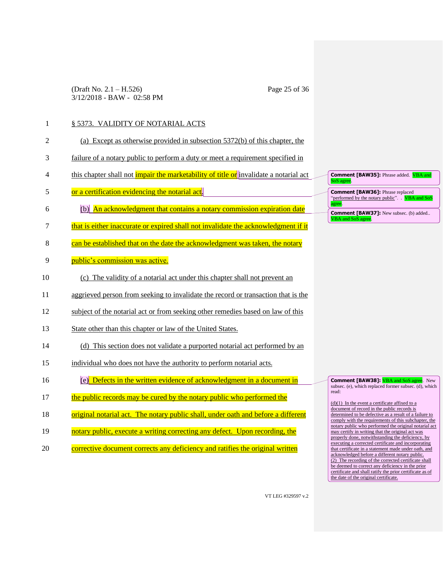(Draft No. 2.1 – H.526) Page 25 of 36 3/12/2018 - BAW - 02:58 PM

### 1 § 5373. VALIDITY OF NOTARIAL ACTS

| $\mathcal{D}_{\mathcal{L}}$ | (a) Except as otherwise provided in subsection 5372(b) of this chapter, the                  |
|-----------------------------|----------------------------------------------------------------------------------------------|
| 3                           | failure of a notary public to perform a duty or meet a requirement specified in              |
| $\overline{4}$              | this chapter shall not <i>impair the marketability of title or</i> invalidate a notarial act |
| 5                           | or a certification evidencing the notarial act.                                              |
| 6                           | (b) An acknowledgment that contains a notary commission expiration date                      |
| 7                           | that is either inaccurate or expired shall not invalidate the acknowledgment if it           |
| 8                           | can be established that on the date the acknowledgment was taken, the notary                 |
| 9                           | public's commission was active.                                                              |
| 10                          | (c) The validity of a notarial act under this chapter shall not prevent an                   |
| 11                          | aggrieved person from seeking to invalidate the record or transaction that is the            |

- 12 subject of the notarial act or from seeking other remedies based on law of this
- 13 State other than this chapter or law of the United States.
- 14 (d) This section does not validate a purported notarial act performed by an
- 15 individual who does not have the authority to perform notarial acts.
- 16 (e) Defects in the written evidence of acknowledgment in a document in
- 17 the public records may be cured by the notary public who performed the
- 18 original notarial act. The notary public shall, under oath and before a different
- 19 notary public, execute a writing correcting any defect. Upon recording, the
- 20 corrective document corrects any deficiency and ratifies the original written

| <b>Comment [BAW35]:</b> Phrase added. <b>VBA and</b><br>SoS agree.                                 |
|----------------------------------------------------------------------------------------------------|
| <b>Comment [BAW36]: Phrase replaced</b><br>"performed by the notary public". VBA and SoS<br>agree. |
| <b>Comment [BAW37]:</b> New subsec. (b) added<br>VBA and SoS agree.                                |

**Comment [BAW38]: VBA and SoS agree.** New subsec. (e), which replaced former subsec. (d), which read:

 $(d)(1)$  In the event a certificate affixed to a document of record in the public records is determined to be defective as a result of a failure to comply with the requirements of this subchapter, the notary public who performed the original notarial act may certify in writing that the original act was properly done, notwithstanding the deficiency, by executing a corrected certificate and incorporating that certificate in a statement made under oath, and acknowledged before a different notary public. (2) The recording of the corrected certificate shall be deemed to correct any deficiency in the prior certificate and shall ratify the prior certificate as of the date of the original certificate.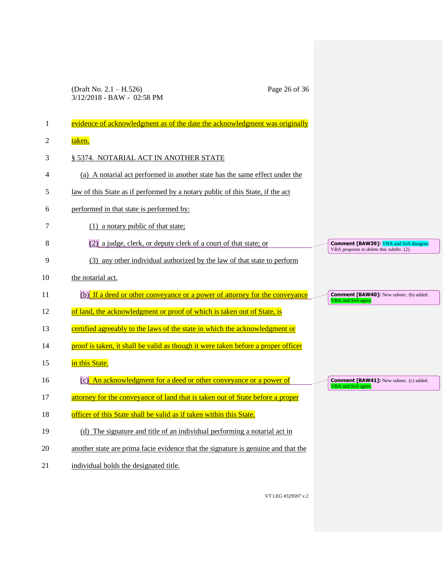|    | (Draft No. $2.1 - H.526$ )<br>Page 26 of 36<br>3/12/2018 - BAW - 02:58 PM         |                                                                                           |
|----|-----------------------------------------------------------------------------------|-------------------------------------------------------------------------------------------|
|    |                                                                                   |                                                                                           |
| 1  | evidence of acknowledgment as of the date the acknowledgment was originally       |                                                                                           |
| 2  | taken.                                                                            |                                                                                           |
| 3  | § 5374. NOTARIAL ACT IN ANOTHER STATE                                             |                                                                                           |
| 4  | (a) A notarial act performed in another state has the same effect under the       |                                                                                           |
| 5  | law of this State as if performed by a notary public of this State, if the act    |                                                                                           |
| 6  | performed in that state is performed by:                                          |                                                                                           |
| 7  | $(1)$ a notary public of that state;                                              |                                                                                           |
| 8  | $(2)$ a judge, clerk, or deputy clerk of a court of that state; or                | <b>Comment [BAW39]:</b> VBA and SoS disagree.<br>VBA proposes to delete this subdiv. (2). |
| 9  | (3) any other individual authorized by the law of that state to perform           |                                                                                           |
| 10 | the notarial act.                                                                 |                                                                                           |
| 11 | $(b)$ If a deed or other conveyance or a power of attorney for the conveyance     | <b>Comment [BAW40]:</b> New subsec. (b) added.<br>VBA and SoS agree.                      |
| 12 | of land, the acknowledgment or proof of which is taken out of State, is           |                                                                                           |
| 13 | certified agreeably to the laws of the state in which the acknowledgment or       |                                                                                           |
| 14 | proof is taken, it shall be valid as though it were taken before a proper officer |                                                                                           |
| 15 | in this State.                                                                    |                                                                                           |
| 16 | An acknowledgment for a deed or other conveyance or a power of                    | <b>Comment [BAW41]:</b> New subsec. (c) added.<br>VBA and SoS agree                       |
| 17 | attorney for the conveyance of land that is taken out of State before a proper    |                                                                                           |
| 18 | officer of this State shall be valid as if taken within this State.               |                                                                                           |
| 19 | (d) The signature and title of an individual performing a notarial act in         |                                                                                           |
| 20 | another state are prima facie evidence that the signature is genuine and that the |                                                                                           |
| 21 | individual holds the designated title.                                            |                                                                                           |

VT LEG #329597 v.2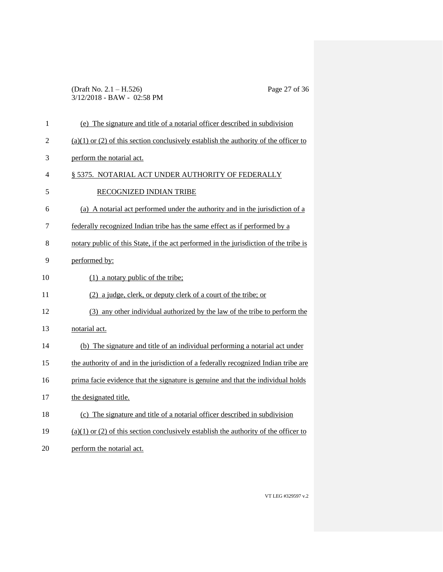### (Draft No. 2.1 – H.526) Page 27 of 36 3/12/2018 - BAW - 02:58 PM

| $\mathbf{1}$   | (e) The signature and title of a notarial officer described in subdivision               |
|----------------|------------------------------------------------------------------------------------------|
| $\overline{2}$ | $(a)(1)$ or $(2)$ of this section conclusively establish the authority of the officer to |
| 3              | perform the notarial act.                                                                |
| 4              | § 5375. NOTARIAL ACT UNDER AUTHORITY OF FEDERALLY                                        |
| 5              | RECOGNIZED INDIAN TRIBE                                                                  |
| 6              | (a) A notarial act performed under the authority and in the jurisdiction of a            |
| 7              | federally recognized Indian tribe has the same effect as if performed by a               |
| 8              | notary public of this State, if the act performed in the jurisdiction of the tribe is    |
| 9              | performed by:                                                                            |
| 10             | $(1)$ a notary public of the tribe;                                                      |
| 11             | (2) a judge, clerk, or deputy clerk of a court of the tribe; or                          |
| 12             | (3) any other individual authorized by the law of the tribe to perform the               |
| 13             | notarial act.                                                                            |
| 14             | (b) The signature and title of an individual performing a notarial act under             |
| 15             | the authority of and in the jurisdiction of a federally recognized Indian tribe are      |
| 16             | prima facie evidence that the signature is genuine and that the individual holds         |
| 17             | the designated title.                                                                    |
| 18             | (c) The signature and title of a notarial officer described in subdivision               |
| 19             | $(a)(1)$ or $(2)$ of this section conclusively establish the authority of the officer to |
| 20             | perform the notarial act.                                                                |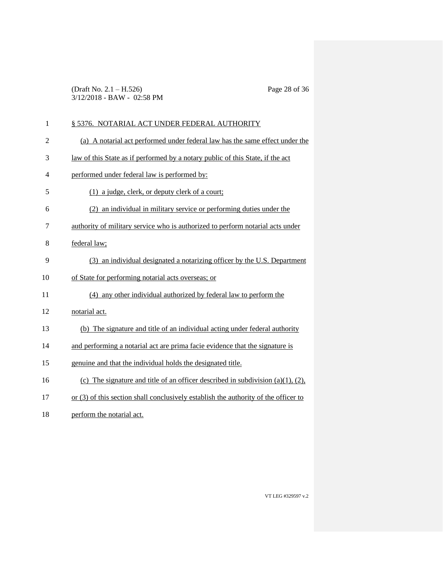(Draft No. 2.1 – H.526) Page 28 of 36 3/12/2018 - BAW - 02:58 PM

| $\mathbf{1}$   | § 5376. NOTARIAL ACT UNDER FEDERAL AUTHORITY                                          |
|----------------|---------------------------------------------------------------------------------------|
| $\overline{c}$ | (a) A notarial act performed under federal law has the same effect under the          |
| 3              | law of this State as if performed by a notary public of this State, if the act        |
| 4              | performed under federal law is performed by:                                          |
| 5              | (1) a judge, clerk, or deputy clerk of a court;                                       |
| 6              | (2) an individual in military service or performing duties under the                  |
| 7              | authority of military service who is authorized to perform notarial acts under        |
| 8              | federal law;                                                                          |
| 9              | (3) an individual designated a notarizing officer by the U.S. Department              |
| 10             | of State for performing notarial acts overseas; or                                    |
| 11             | (4) any other individual authorized by federal law to perform the                     |
| 12             | notarial act.                                                                         |
| 13             | (b) The signature and title of an individual acting under federal authority           |
| 14             | and performing a notarial act are prima facie evidence that the signature is          |
| 15             | genuine and that the individual holds the designated title.                           |
| 16             | (c) The signature and title of an officer described in subdivision $(a)(1)$ , $(2)$ , |
| 17             | or (3) of this section shall conclusively establish the authority of the officer to   |
| 18             | perform the notarial act.                                                             |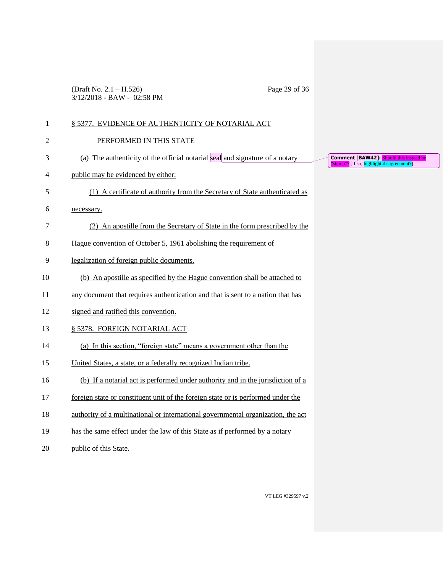(Draft No. 2.1 – H.526) Page 29 of 36 3/12/2018 - BAW - 02:58 PM

| $\mathbf{1}$   | § 5377. EVIDENCE OF AUTHENTICITY OF NOTARIAL ACT                                 |
|----------------|----------------------------------------------------------------------------------|
| $\overline{2}$ | PERFORMED IN THIS STATE                                                          |
| 3              | (a) The authenticity of the official notarial seal and signature of a notary     |
| 4              | public may be evidenced by either:                                               |
| 5              | (1) A certificate of authority from the Secretary of State authenticated as      |
| 6              | necessary.                                                                       |
| 7              | (2) An apostille from the Secretary of State in the form prescribed by the       |
| 8              | Hague convention of October 5, 1961 abolishing the requirement of                |
| 9              | legalization of foreign public documents.                                        |
| 10             | (b) An apostille as specified by the Hague convention shall be attached to       |
| 11             | any document that requires authentication and that is sent to a nation that has  |
| 12             | signed and ratified this convention.                                             |
| 13             | § 5378. FOREIGN NOTARIAL ACT                                                     |
| 14             | (a) In this section, "foreign state" means a government other than the           |
| 15             | United States, a state, or a federally recognized Indian tribe.                  |
| 16             | (b) If a notarial act is performed under authority and in the jurisdiction of a  |
| 17             | foreign state or constituent unit of the foreign state or is performed under the |
| 18             | authority of a multinational or international governmental organization, the act |
| 19             | has the same effect under the law of this State as if performed by a notary      |
| 20             | public of this State.                                                            |

**Comment [BAW42]: Should this instead be** "Stamp"? [If so, highlight disagreement?]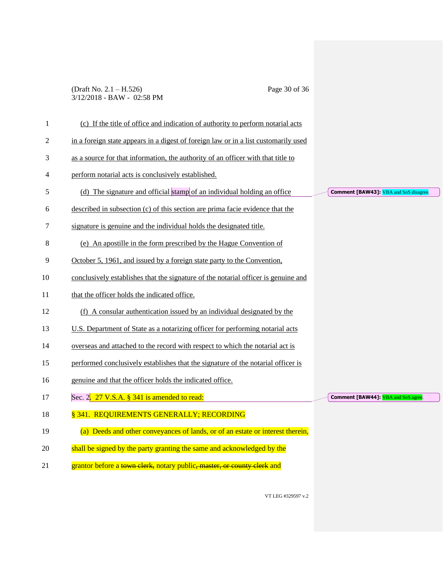### (Draft No. 2.1 – H.526) Page 30 of 36 3/12/2018 - BAW - 02:58 PM

| 1  | (c) If the title of office and indication of authority to perform notarial acts     |                                              |
|----|-------------------------------------------------------------------------------------|----------------------------------------------|
| 2  | in a foreign state appears in a digest of foreign law or in a list customarily used |                                              |
| 3  | as a source for that information, the authority of an officer with that title to    |                                              |
| 4  | perform notarial acts is conclusively established.                                  |                                              |
| 5  | (d) The signature and official stamp of an individual holding an office             | <b>Comment [BAW43]:</b> VBA and SoS disagree |
| 6  | described in subsection (c) of this section are prima facie evidence that the       |                                              |
| 7  | signature is genuine and the individual holds the designated title.                 |                                              |
| 8  | (e) An apostille in the form prescribed by the Hague Convention of                  |                                              |
| 9  | October 5, 1961, and issued by a foreign state party to the Convention,             |                                              |
| 10 | conclusively establishes that the signature of the notarial officer is genuine and  |                                              |
| 11 | that the officer holds the indicated office.                                        |                                              |
| 12 | (f) A consular authentication issued by an individual designated by the             |                                              |
| 13 | U.S. Department of State as a notarizing officer for performing notarial acts       |                                              |
| 14 | overseas and attached to the record with respect to which the notarial act is       |                                              |
| 15 | performed conclusively establishes that the signature of the notarial officer is    |                                              |
| 16 | genuine and that the officer holds the indicated office.                            |                                              |
| 17 | Sec. 2. 27 V.S.A. § 341 is amended to read:                                         | <b>Comment [BAW44]:</b> VBA and SoS agree    |
| 18 | § 341. REQUIREMENTS GENERALLY; RECORDING                                            |                                              |
| 19 | (a) Deeds and other conveyances of lands, or of an estate or interest therein,      |                                              |
| 20 | shall be signed by the party granting the same and acknowledged by the              |                                              |
| 21 | grantor before a town clerk, notary public, master, or county clerk and             |                                              |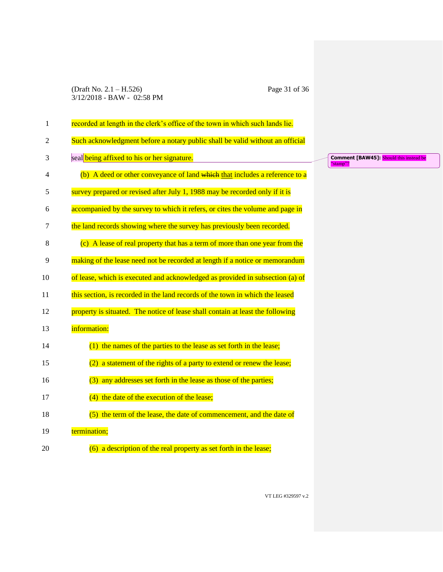### (Draft No. 2.1 – H.526) Page 31 of 36 3/12/2018 - BAW - 02:58 PM

| $\mathbf{1}$   | recorded at length in the clerk's office of the town in which such lands lie.  |
|----------------|--------------------------------------------------------------------------------|
| $\overline{2}$ | Such acknowledgment before a notary public shall be valid without an official  |
| 3              | seal being affixed to his or her signature.                                    |
| $\overline{4}$ | (b) A deed or other conveyance of land which that includes a reference to a    |
| 5              | survey prepared or revised after July 1, 1988 may be recorded only if it is    |
| 6              | accompanied by the survey to which it refers, or cites the volume and page in  |
| 7              | the land records showing where the survey has previously been recorded.        |
| 8              | (c) A lease of real property that has a term of more than one year from the    |
| 9              | making of the lease need not be recorded at length if a notice or memorandum   |
| 10             | of lease, which is executed and acknowledged as provided in subsection (a) of  |
| 11             | this section, is recorded in the land records of the town in which the leased  |
| 12             | property is situated. The notice of lease shall contain at least the following |
| 13             | information:                                                                   |
| 14             | $(1)$ the names of the parties to the lease as set forth in the lease;         |
| 15             | a statement of the rights of a party to extend or renew the lease;<br>(2)      |
| 16             | (3) any addresses set forth in the lease as those of the parties;              |
| 17             | (4) the date of the execution of the lease;                                    |
| 18             | $(5)$ the term of the lease, the date of commencement, and the date of         |
| 19             | termination;                                                                   |
| 20             | $(6)$ a description of the real property as set forth in the lease;            |

**Comment [BAW45]:** Should this instead be "stamp"?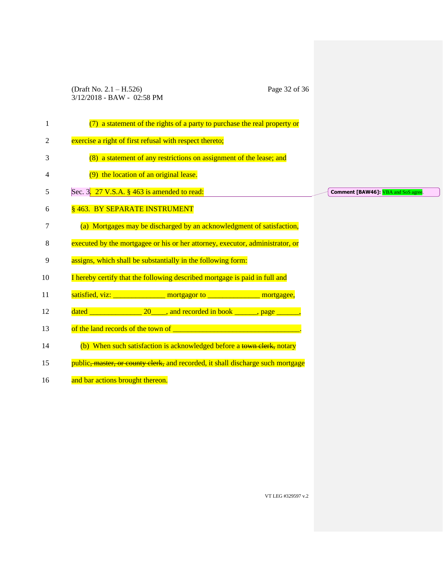(Draft No. 2.1 – H.526) Page 32 of 36 3/12/2018 - BAW - 02:58 PM

| 1  | (7) a statement of the rights of a party to purchase the real property or                        |                                           |
|----|--------------------------------------------------------------------------------------------------|-------------------------------------------|
| 2  | exercise a right of first refusal with respect thereto;                                          |                                           |
| 3  | (8) a statement of any restrictions on assignment of the lease; and                              |                                           |
| 4  | (9) the location of an original lease.                                                           |                                           |
| 5  | Sec. 3. 27 V.S.A. § 463 is amended to read:                                                      | <b>Comment [BAW46]:</b> VBA and SoS agree |
| 6  | § 463. BY SEPARATE INSTRUMENT                                                                    |                                           |
| 7  | (a) Mortgages may be discharged by an acknowledgment of satisfaction,                            |                                           |
| 8  | executed by the mortgagee or his or her attorney, executor, administrator, or                    |                                           |
| 9  | assigns, which shall be substantially in the following form:                                     |                                           |
| 10 | I hereby certify that the following described mortgage is paid in full and                       |                                           |
| 11 | satisfied, viz: _________________ mortgagor to ________________ mortgagee,                       |                                           |
| 12 | dated $\frac{1}{\sqrt{1-\frac{1}{2}}}\left(20\right)$ , and recorded in book ______, page _____, |                                           |
| 13 |                                                                                                  |                                           |
| 14 | (b) When such satisfaction is acknowledged before a town clerk, notary                           |                                           |
| 15 | public <del>, master, or county clerk,</del> and recorded, it shall discharge such mortgage      |                                           |
| 16 | and bar actions brought thereon.                                                                 |                                           |
|    |                                                                                                  |                                           |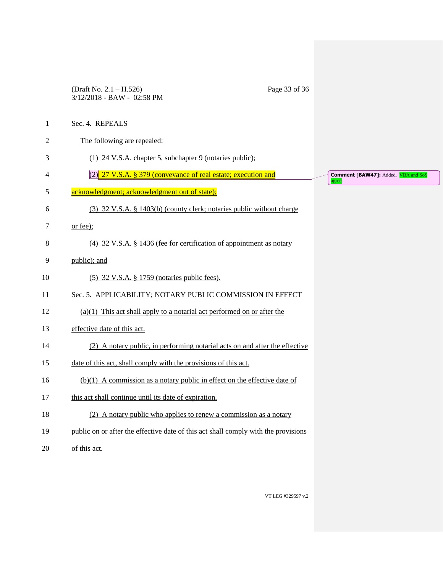(Draft No. 2.1 – H.526) Page 33 of 36 3/12/2018 - BAW - 02:58 PM

1 Sec. 4. REPEALS

| $\overline{c}$ | The following are repealed:                                                        |
|----------------|------------------------------------------------------------------------------------|
| 3              | (1) 24 V.S.A. chapter 5, subchapter 9 (notaries public);                           |
| 4              | (2) 27 V.S.A. § 379 (conveyance of real estate; execution and                      |
| 5              | acknowledgment; acknowledgment out of state);                                      |
| 6              | (3) 32 V.S.A. § 1403(b) (county clerk; notaries public without charge              |
| 7              | or fee);                                                                           |
| 8              | (4) 32 V.S.A. $\S$ 1436 (fee for certification of appointment as notary            |
| 9              | public); and                                                                       |
| 10             | (5) 32 V.S.A. § 1759 (notaries public fees).                                       |
| 11             | Sec. 5. APPLICABILITY; NOTARY PUBLIC COMMISSION IN EFFECT                          |
| 12             | $(a)(1)$ This act shall apply to a notarial act performed on or after the          |
| 13             | effective date of this act.                                                        |
| 14             | (2) A notary public, in performing notarial acts on and after the effective        |
| 15             | date of this act, shall comply with the provisions of this act.                    |
| 16             | $(b)(1)$ A commission as a notary public in effect on the effective date of        |
| 17             | this act shall continue until its date of expiration.                              |
| 18             | (2) A notary public who applies to renew a commission as a notary                  |
| 19             | public on or after the effective date of this act shall comply with the provisions |
| 20             | of this act.                                                                       |

**Comment [BAW47]:** Added. <mark>VBA and SoS</mark><br>agree.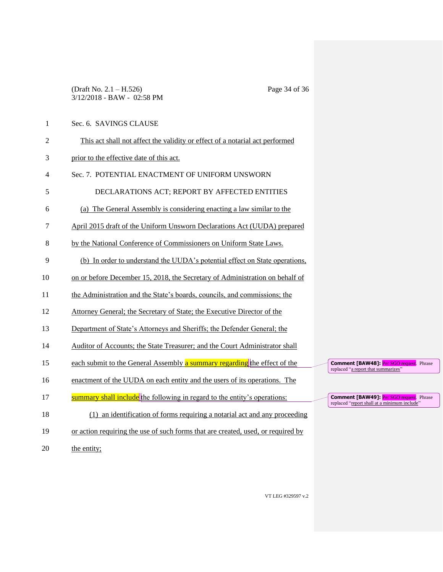### (Draft No. 2.1 – H.526) Page 34 of 36 3/12/2018 - BAW - 02:58 PM

- 1 Sec. 6. SAVINGS CLAUSE
- 2 This act shall not affect the validity or effect of a notarial act performed
- 3 prior to the effective date of this act.
- 4 Sec. 7. POTENTIAL ENACTMENT OF UNIFORM UNSWORN
- 5 DECLARATIONS ACT; REPORT BY AFFECTED ENTITIES
- 6 (a) The General Assembly is considering enacting a law similar to the
- 7 April 2015 draft of the Uniform Unsworn Declarations Act (UUDA) prepared
- 8 by the National Conference of Commissioners on Uniform State Laws.
- 9 (b) In order to understand the UUDA's potential effect on State operations,
- 10 on or before December 15, 2018, the Secretary of Administration on behalf of
- 11 the Administration and the State's boards, councils, and commissions; the
- 12 Attorney General; the Secretary of State; the Executive Director of the
- 13 Department of State's Attorneys and Sheriffs; the Defender General; the
- 14 Auditor of Accounts; the State Treasurer; and the Court Administrator shall
- 15 each submit to the General Assembly **a** summary regarding the effect of the
- 16 enactment of the UUDA on each entity and the users of its operations. The
- 17 summary shall include the following in regard to the entity's operations:
- 18 (1) an identification of forms requiring a notarial act and any proceeding
- 19 or action requiring the use of such forms that are created, used, or required by
- 20 the entity;

**Comment [BAW48]:** Per SGO request. Phrase replaced "a report that summarizes"

**Comment [BAW49]: Per SGO request.** Phrase replaced "report shall at a minimum include"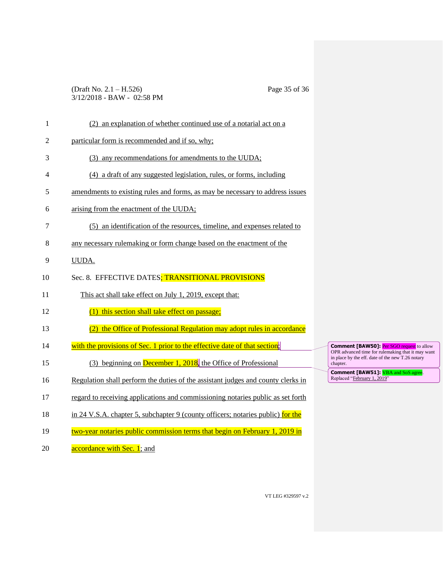### (Draft No. 2.1 – H.526) Page 35 of 36 3/12/2018 - BAW - 02:58 PM

| 1              | (2) an explanation of whether continued use of a notarial act on a               |                                                                                                       |
|----------------|----------------------------------------------------------------------------------|-------------------------------------------------------------------------------------------------------|
| $\overline{2}$ | particular form is recommended and if so, why;                                   |                                                                                                       |
| 3              | (3) any recommendations for amendments to the UUDA;                              |                                                                                                       |
| 4              | (4) a draft of any suggested legislation, rules, or forms, including             |                                                                                                       |
| 5              | amendments to existing rules and forms, as may be necessary to address issues    |                                                                                                       |
| 6              | arising from the enactment of the UUDA;                                          |                                                                                                       |
| 7              | (5) an identification of the resources, timeline, and expenses related to        |                                                                                                       |
| 8              | any necessary rulemaking or form change based on the enactment of the            |                                                                                                       |
| 9              | UUDA.                                                                            |                                                                                                       |
| 10             | Sec. 8. EFFECTIVE DATES; TRANSITIONAL PROVISIONS                                 |                                                                                                       |
| 11             | This act shall take effect on July 1, 2019, except that:                         |                                                                                                       |
| 12             | (1) this section shall take effect on passage;                                   |                                                                                                       |
| 13             | (2) the Office of Professional Regulation may adopt rules in accordance          |                                                                                                       |
| 14             | with the provisions of Sec. 1 prior to the effective date of that section;       | <b>Comment [BAW50]:</b> Per SGO request to allow<br>OPR advanced time for rulemaking that it may want |
| 15             | (3) beginning on <b>December 1, 2018</b> , the Office of Professional            | in place by the eff. date of the new T.26 notary<br>chapter.                                          |
| 16             | Regulation shall perform the duties of the assistant judges and county clerks in | <b>Comment [BAW51]:</b> VBA and SoS agree.<br>Replaced "February 1, 2019"                             |
| 17             | regard to receiving applications and commissioning notaries public as set forth  |                                                                                                       |
| 18             | in 24 V.S.A. chapter 5, subchapter 9 (county officers; notaries public) for the  |                                                                                                       |
| 19             | two-year notaries public commission terms that begin on February 1, 2019 in      |                                                                                                       |
| 20             | accordance with Sec. 1; and                                                      |                                                                                                       |

VT LEG #329597 v.2